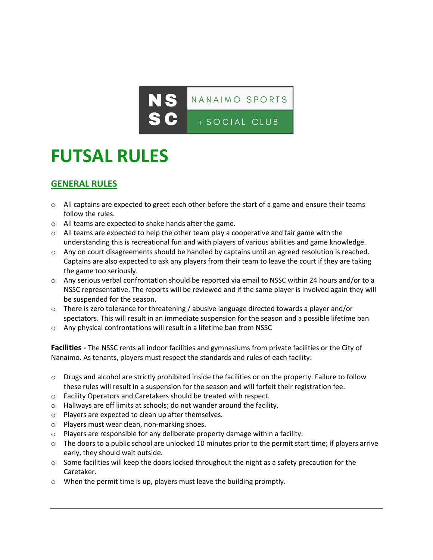

## **FUTSAL RULES**

## **GENERAL RULES**

- $\circ$  All captains are expected to greet each other before the start of a game and ensure their teams follow the rules.
- o All teams are expected to shake hands after the game.
- $\circ$  All teams are expected to help the other team play a cooperative and fair game with the understanding this is recreational fun and with players of various abilities and game knowledge.
- o Any on court disagreements should be handled by captains until an agreed resolution is reached. Captains are also expected to ask any players from their team to leave the court if they are taking the game too seriously.
- o Any serious verbal confrontation should be reported via email to NSSC within 24 hours and/or to a NSSC representative. The reports will be reviewed and if the same player is involved again they will be suspended for the season.
- $\circ$  There is zero tolerance for threatening / abusive language directed towards a player and/or spectators. This will result in an immediate suspension for the season and a possible lifetime ban
- o Any physical confrontations will result in a lifetime ban from NSSC

**Facilities -** The NSSC rents all indoor facilities and gymnasiums from private facilities or the City of Nanaimo. As tenants, players must respect the standards and rules of each facility:

- o Drugs and alcohol are strictly prohibited inside the facilities or on the property. Failure to follow these rules will result in a suspension for the season and will forfeit their registration fee.
- o Facility Operators and Caretakers should be treated with respect.
- o Hallways are off limits at schools; do not wander around the facility.
- o Players are expected to clean up after themselves.
- o Players must wear clean, non-marking shoes.
- o Players are responsible for any deliberate property damage within a facility.
- $\circ$  The doors to a public school are unlocked 10 minutes prior to the permit start time; if players arrive early, they should wait outside.
- $\circ$  Some facilities will keep the doors locked throughout the night as a safety precaution for the Caretaker.
- o When the permit time is up, players must leave the building promptly.